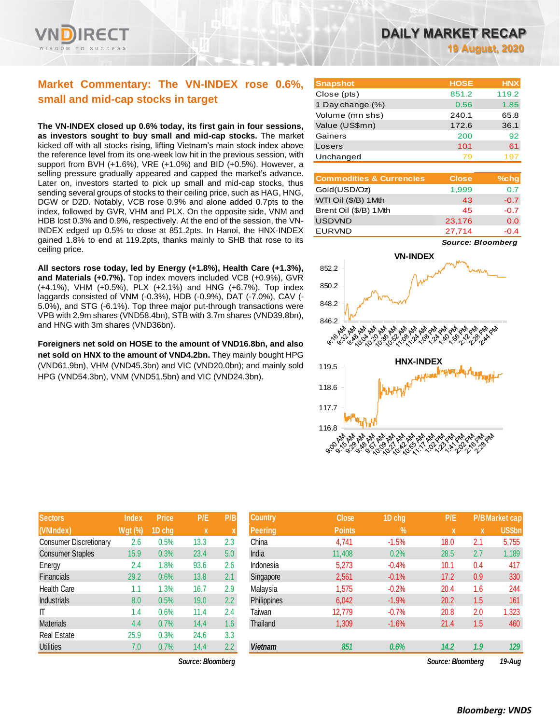

# **Market Commentary: The VN-INDEX rose 0.6%, small and mid-cap stocks in target**

**The VN-INDEX closed up 0.6% today, its first gain in four sessions, as investors sought to buy small and mid-cap stocks.** The market kicked off with all stocks rising, lifting Vietnam's main stock index above the reference level from its one-week low hit in the previous session, with support from BVH (+1.6%), VRE (+1.0%) and BID (+0.5%). However, a selling pressure gradually appeared and capped the market's advance. Later on, investors started to pick up small and mid-cap stocks, thus sending several groups of stocks to their ceiling price, such as HAG, HNG, DGW or D2D. Notably, VCB rose 0.9% and alone added 0.7pts to the index, followed by GVR, VHM and PLX. On the opposite side, VNM and HDB lost 0.3% and 0.9%, respectively. At the end of the session, the VN-INDEX edged up 0.5% to close at 851.2pts. In Hanoi, the HNX-INDEX gained 1.8% to end at 119.2pts, thanks mainly to SHB that rose to its ceiling price.

**All sectors rose today, led by Energy (+1.8%), Health Care (+1.3%), and Materials (+0.7%).** Top index movers included VCB (+0.9%), GVR (+4.1%), VHM (+0.5%), PLX (+2.1%) and HNG (+6.7%). Top index laggards consisted of VNM (-0.3%), HDB (-0.9%), DAT (-7.0%), CAV (- 5.0%), and STG (-6.1%). Top three major put-through transactions were VPB with 2.9m shares (VND58.4bn), STB with 3.7m shares (VND39.8bn), and HNG with 3m shares (VND36bn).

**Foreigners net sold on HOSE to the amount of VND16.8bn, and also net sold on HNX to the amount of VND4.2bn.** They mainly bought HPG (VND61.9bn), VHM (VND45.3bn) and VIC (VND20.0bn); and mainly sold HPG (VND54.3bn), VNM (VND51.5bn) and VIC (VND24.3bn).

| <b>Sectors</b>                | Index          | <b>Price</b> | P/E  | P/B |
|-------------------------------|----------------|--------------|------|-----|
| (VNIndex)                     | <b>Wgt (%)</b> | 1D chg       | X    | X   |
| <b>Consumer Discretionary</b> | 2.6            | 0.5%         | 13.3 | 2.3 |
| <b>Consumer Staples</b>       | 15.9           | 0.3%         | 23.4 | 5.0 |
| Energy                        | 2.4            | 1.8%         | 93.6 | 2.6 |
| Financials                    | 29.2           | 0.6%         | 13.8 | 2.1 |
| <b>Health Care</b>            | 1.1            | 1.3%         | 16.7 | 2.9 |
| <b>Industrials</b>            | 8.0            | 0.5%         | 19.0 | 2.2 |
| IT                            | 1.4            | 0.6%         | 11.4 | 2.4 |
| <b>Materials</b>              | 4.4            | 0.7%         | 14.4 | 1.6 |
| <b>Real Estate</b>            | 25.9           | 0.3%         | 24.6 | 3.3 |
| <b>Utilities</b>              | 7.0            | 0.7%         | 14.4 | 2.2 |

 $Source: Bloomberg$ 

| <b>Snapshot</b>  | <b>HOSE</b> | <b>HNX</b> |
|------------------|-------------|------------|
| Close (pts)      | 851.2       | 119.2      |
| 1 Day change (%) | 0.56        | 1.85       |
| Volume (mn shs)  | 240.1       | 65.8       |
| Value (US\$mn)   | 172.6       | 36.1       |
| Gainers          | 200         | 92         |
| Losers           | 101         | 61         |
| Unchanged        | 79          |            |

| <b>Commodities &amp; Currencies</b> | <b>Close</b> | $%$ chg |
|-------------------------------------|--------------|---------|
| Gold(USD/Oz)                        | 1,999        | 0.7     |
| WTI Oil (\$/B) 1Mth                 | 43           | $-0.7$  |
| Brent Oil (\$/B) 1Mth               | 45           | $-0.7$  |
| <b>USDVND</b>                       | 23,176       | 0.0     |
| <b>EURVND</b>                       | 27,714       | $-0.4$  |

*Source: Bloomberg*



| <b>Sectors</b>                | <b>Index</b>   | <b>Price</b> | P/E               | P/B              | <b>Country</b> | <b>Close</b>  | 1D chg  | P/E               |             | <b>P/BMarket cap</b> |
|-------------------------------|----------------|--------------|-------------------|------------------|----------------|---------------|---------|-------------------|-------------|----------------------|
| (VNIndex)                     | <b>Wgt (%)</b> | 1D chg       | X                 |                  | <b>Peering</b> | <b>Points</b> | $\%$    | $\mathbf{x}$      | $\mathbf x$ | US\$bn               |
| <b>Consumer Discretionary</b> | 2.6            | 0.5%         | 13.3              | 2.3              | China          | 4,741         | $-1.5%$ | 18.0              | 2.1         | 5,755                |
| <b>Consumer Staples</b>       | 15.9           | 0.3%         | 23.4              | 5.0              | India          | 11,408        | 0.2%    | 28.5              | 2.7         | 1,189                |
| Energy                        | 2.4            | .8%          | 93.6              | 2.6              | Indonesia      | 5,273         | $-0.4%$ | 10.1              | 0.4         | 417                  |
| Financials                    | 29.2           | 0.6%         | 13.8              | 2.1              | Singapore      | 2,561         | $-0.1%$ | 17.2              | 0.9         | 330                  |
| Health Care                   | 1.1            | .3%          | 16.7              | 2.9              | Malaysia       | 1,575         | $-0.2%$ | 20.4              | 1.6         | 244                  |
| <b>Industrials</b>            | 8.0            | 0.5%         | 19.0              | 2.2              | Philippines    | 6,042         | $-1.9%$ | 20.2              | 1.5         | 161                  |
| ΙT                            | 1.4            | 0.6%         | 11.4              | 2.4              | Taiwan         | 12,779        | $-0.7%$ | 20.8              | 2.0         | 1,323                |
| <b>Materials</b>              | 4.4            | 0.7%         | 14.4              | 1.6 <sup>°</sup> | Thailand       | 1,309         | $-1.6%$ | 21.4              | 1.5         | 460                  |
| Real Estate                   | 25.9           | 0.3%         | 24.6              | 3.3              |                |               |         |                   |             |                      |
| <b>Utilities</b>              | 7.0            | 0.7%         | 14.4              | 2.2              | <b>Vietnam</b> | 851           | 0.6%    | 14.2              | 1.9         | 129                  |
|                               |                |              | Source: Bloomberg |                  |                |               |         | Source: Bloomberg |             | $10 - \Delta$        |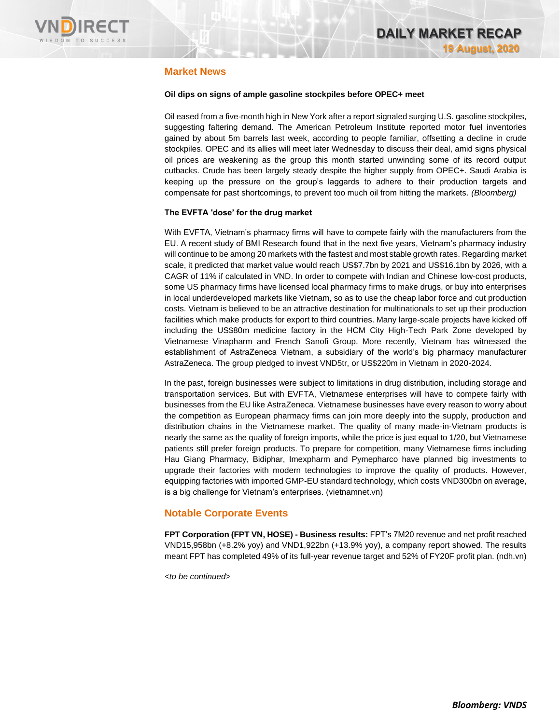

# **Market News**

### **Oil dips on signs of ample gasoline stockpiles before OPEC+ meet**

Oil eased from a five-month high in New York after a report signaled surging U.S. gasoline stockpiles, suggesting faltering demand. The American Petroleum Institute reported motor fuel inventories gained by about 5m barrels last week, according to people familiar, offsetting a decline in crude stockpiles. OPEC and its allies will meet later Wednesday to discuss their deal, amid signs physical oil prices are weakening as the group this month started unwinding some of its record output cutbacks. Crude has been largely steady despite the higher supply from OPEC+. Saudi Arabia is keeping up the pressure on the group's laggards to adhere to their production targets and compensate for past shortcomings, to prevent too much oil from hitting the markets. *(Bloomberg)*

### **The EVFTA 'dose' for the drug market**

With EVFTA, Vietnam's pharmacy firms will have to compete fairly with the manufacturers from the EU. A recent study of BMI Research found that in the next five years, Vietnam's pharmacy industry will continue to be among 20 markets with the fastest and most stable growth rates. Regarding market scale, it predicted that market value would reach US\$7.7bn by 2021 and US\$16.1bn by 2026, with a CAGR of 11% if calculated in VND. In order to compete with Indian and Chinese low-cost products, some US pharmacy firms have licensed local pharmacy firms to make drugs, or buy into enterprises in local underdeveloped markets like Vietnam, so as to use the cheap labor force and cut production costs. Vietnam is believed to be an attractive destination for multinationals to set up their production facilities which make products for export to third countries. Many large-scale projects have kicked off including the US\$80m medicine factory in the HCM City High-Tech Park Zone developed by Vietnamese Vinapharm and French Sanofi Group. More recently, Vietnam has witnessed the establishment of AstraZeneca Vietnam, a subsidiary of the world's big pharmacy manufacturer AstraZeneca. The group pledged to invest VND5tr, or US\$220m in Vietnam in 2020-2024.

In the past, foreign businesses were subject to limitations in drug distribution, including storage and transportation services. But with EVFTA, Vietnamese enterprises will have to compete fairly with businesses from the EU like AstraZeneca. Vietnamese businesses have every reason to worry about the competition as European pharmacy firms can join more deeply into the supply, production and distribution chains in the Vietnamese market. The quality of many made-in-Vietnam products is nearly the same as the quality of foreign imports, while the price is just equal to 1/20, but Vietnamese patients still prefer foreign products. To prepare for competition, many Vietnamese firms including Hau Giang Pharmacy, Bidiphar, Imexpharm and Pymepharco have planned big investments to upgrade their factories with modern technologies to improve the quality of products. However, equipping factories with imported GMP-EU standard technology, which costs VND300bn on average, is a big challenge for Vietnam's enterprises. (vietnamnet.vn)

### **Notable Corporate Events**

**FPT Corporation (FPT VN, HOSE) - Business results:** FPT's 7M20 revenue and net profit reached VND15,958bn (+8.2% yoy) and VND1,922bn (+13.9% yoy), a company report showed. The results meant FPT has completed 49% of its full-year revenue target and 52% of FY20F profit plan. (ndh.vn)

*<to be continued>*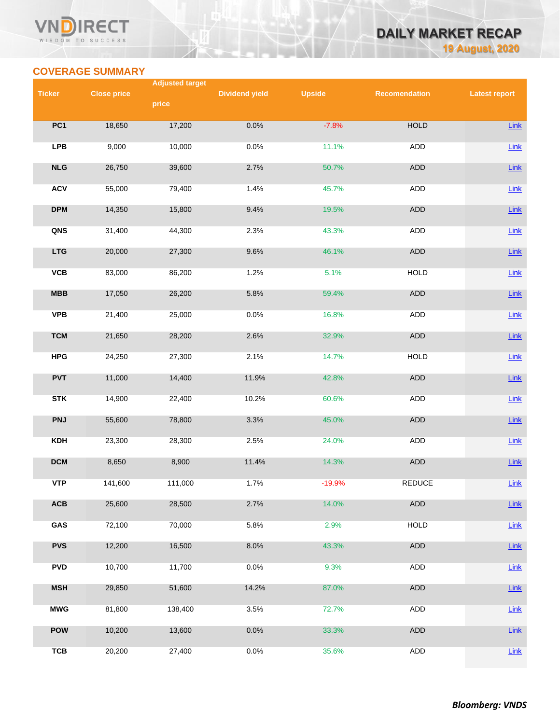### VN **RECT** WISDOM TO SUCCESS

# **DAILY MARKET RECAP 19 August, 2020**

# **COVERAGE SUMMARY**

|               |                    | <b>Adjusted target</b> |                       |               |                      |                      |
|---------------|--------------------|------------------------|-----------------------|---------------|----------------------|----------------------|
| <b>Ticker</b> | <b>Close price</b> |                        | <b>Dividend yield</b> | <b>Upside</b> | <b>Recomendation</b> | <b>Latest report</b> |
|               |                    | price                  |                       |               |                      |                      |
|               |                    |                        |                       |               |                      |                      |
| PC1           | 18,650             | 17,200                 | 0.0%                  | $-7.8%$       | <b>HOLD</b>          | Link                 |
| <b>LPB</b>    | 9,000              | 10,000                 | 0.0%                  | 11.1%         | ADD                  | Link                 |
|               |                    |                        |                       |               |                      |                      |
| NLG           | 26,750             | 39,600                 | 2.7%                  | 50.7%         | <b>ADD</b>           | $Link$               |
|               |                    |                        |                       |               |                      |                      |
| <b>ACV</b>    | 55,000             | 79,400                 | 1.4%                  | 45.7%         | <b>ADD</b>           | $Link$               |
|               |                    |                        |                       |               |                      |                      |
| <b>DPM</b>    | 14,350             | 15,800                 | 9.4%                  | 19.5%         | ADD                  | $Link$               |
| QNS           | 31,400             | 44,300                 | 2.3%                  | 43.3%         | ADD                  | Link                 |
|               |                    |                        |                       |               |                      |                      |
| <b>LTG</b>    | 20,000             | 27,300                 | 9.6%                  | 46.1%         | ADD                  | $Link$               |
|               |                    |                        |                       |               |                      |                      |
| <b>VCB</b>    | 83,000             | 86,200                 | 1.2%                  | 5.1%          | <b>HOLD</b>          | Link                 |
|               |                    |                        |                       |               |                      |                      |
| MBB           | 17,050             | 26,200                 | 5.8%                  | 59.4%         | <b>ADD</b>           | $Link$               |
| <b>VPB</b>    | 21,400             | 25,000                 | 0.0%                  | 16.8%         | ADD                  | Link                 |
|               |                    |                        |                       |               |                      |                      |
| <b>TCM</b>    | 21,650             | 28,200                 | 2.6%                  | 32.9%         | ADD                  | $Link$               |
|               |                    |                        |                       |               |                      |                      |
| <b>HPG</b>    | 24,250             | 27,300                 | 2.1%                  | 14.7%         | <b>HOLD</b>          | Link                 |
|               |                    |                        |                       |               |                      |                      |
| <b>PVT</b>    | 11,000             | 14,400                 | 11.9%                 | 42.8%         | ADD                  | Link                 |
| <b>STK</b>    | 14,900             | 22,400                 | 10.2%                 | 60.6%         | ADD                  | Link                 |
|               |                    |                        |                       |               |                      |                      |
| <b>PNJ</b>    | 55,600             | 78,800                 | 3.3%                  | 45.0%         | ADD                  | $Link$               |
|               |                    |                        |                       |               |                      |                      |
| <b>KDH</b>    | 23,300             | 28,300                 | 2.5%                  | 24.0%         | <b>ADD</b>           | $Link$               |
|               |                    |                        |                       |               |                      |                      |
| <b>DCM</b>    | 8,650              | 8,900                  | 11.4%                 | 14.3%         | ADD                  | $Link$               |
| <b>VTP</b>    | 141,600            | 111,000                | 1.7%                  | $-19.9%$      | <b>REDUCE</b>        | Link                 |
|               |                    |                        |                       |               |                      |                      |
| ACB           | 25,600             | 28,500                 | 2.7%                  | 14.0%         | <b>ADD</b>           | $Link$               |
|               |                    |                        |                       |               |                      |                      |
| GAS           | 72,100             | 70,000                 | 5.8%                  | 2.9%          | <b>HOLD</b>          | $Link$               |
|               |                    |                        |                       |               |                      |                      |
| <b>PVS</b>    | 12,200             | 16,500                 | 8.0%                  | 43.3%         | ADD                  | $Link$               |
| <b>PVD</b>    | 10,700             | 11,700                 | 0.0%                  | 9.3%          | <b>ADD</b>           | Link                 |
|               |                    |                        |                       |               |                      |                      |
| <b>MSH</b>    | 29,850             | 51,600                 | 14.2%                 | 87.0%         | ADD                  | $Link$               |
|               |                    |                        |                       |               |                      |                      |
| <b>MWG</b>    | 81,800             | 138,400                | 3.5%                  | 72.7%         | ADD                  | $Link$               |
|               |                    |                        |                       |               |                      |                      |
| <b>POW</b>    | 10,200             | 13,600                 | 0.0%                  | 33.3%         | ADD                  | $Link$               |
| <b>TCB</b>    | 20,200             | 27,400                 | 0.0%                  | 35.6%         | ADD                  | Link                 |
|               |                    |                        |                       |               |                      |                      |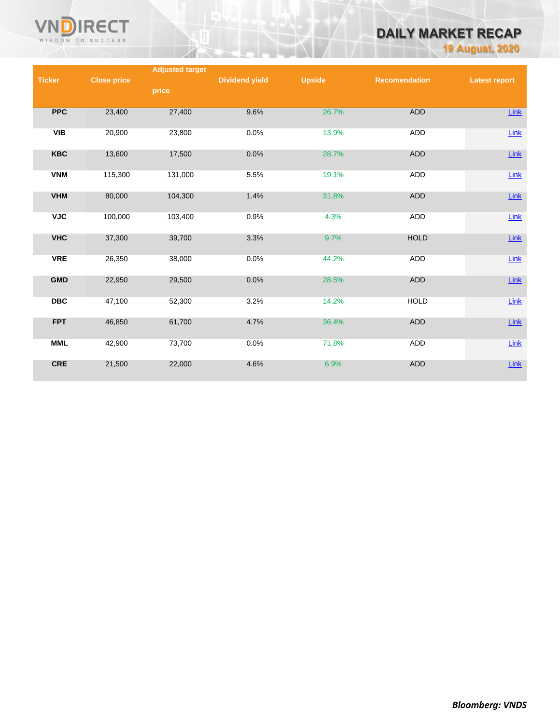

# **DAILY MARKET RECAP**

**19 August, 2020**

|               |                    | <b>Adjusted target</b> |                       |               |                      |                      |
|---------------|--------------------|------------------------|-----------------------|---------------|----------------------|----------------------|
| <b>Ticker</b> | <b>Close price</b> |                        | <b>Dividend yield</b> | <b>Upside</b> | <b>Recomendation</b> | <b>Latest report</b> |
|               |                    | price                  |                       |               |                      |                      |
|               |                    |                        |                       |               |                      |                      |
| <b>PPC</b>    | 23,400             | 27,400                 | 9.6%                  | 26.7%         | <b>ADD</b>           | Link                 |
|               |                    |                        |                       |               |                      |                      |
| <b>VIB</b>    | 20,900             | 23,800                 | 0.0%                  | 13.9%         | ADD                  | Link                 |
|               |                    |                        |                       |               |                      |                      |
|               |                    |                        |                       |               |                      |                      |
| <b>KBC</b>    | 13,600             | 17,500                 | 0.0%                  | 28.7%         | ADD                  | $Link$               |
|               |                    |                        |                       |               |                      |                      |
| <b>VNM</b>    | 115,300            | 131,000                | 5.5%                  | 19.1%         | <b>ADD</b>           | Link                 |
|               |                    |                        |                       |               |                      |                      |
| <b>VHM</b>    | 80,000             | 104,300                | 1.4%                  | 31.8%         | <b>ADD</b>           | $Link$               |
|               |                    |                        |                       |               |                      |                      |
| <b>VJC</b>    | 100,000            | 103,400                | 0.9%                  | 4.3%          | <b>ADD</b>           | $Link$               |
|               |                    |                        |                       |               |                      |                      |
| <b>VHC</b>    | 37,300             | 39,700                 | 3.3%                  | 9.7%          | <b>HOLD</b>          | $Link$               |
|               |                    |                        |                       |               |                      |                      |
| <b>VRE</b>    | 26,350             | 38,000                 | 0.0%                  | 44.2%         | ADD                  | $Link$               |
|               |                    |                        |                       |               |                      |                      |
| <b>GMD</b>    | 22,950             | 29,500                 | 0.0%                  | 28.5%         | ADD                  | $Link$               |
|               |                    |                        |                       |               |                      |                      |
| <b>DBC</b>    | 47,100             | 52,300                 | 3.2%                  | 14.2%         | <b>HOLD</b>          | $Link$               |
|               |                    |                        |                       |               |                      |                      |
|               |                    |                        |                       |               |                      |                      |
| <b>FPT</b>    | 46,850             | 61,700                 | 4.7%                  | 36.4%         | <b>ADD</b>           | $Link$               |
|               |                    |                        |                       |               |                      |                      |
| <b>MML</b>    | 42,900             | 73,700                 | 0.0%                  | 71.8%         | ADD                  | Link                 |
|               |                    |                        |                       |               |                      |                      |
| <b>CRE</b>    | 21,500             | 22,000                 | 4.6%                  | 6.9%          | <b>ADD</b>           | $Link$               |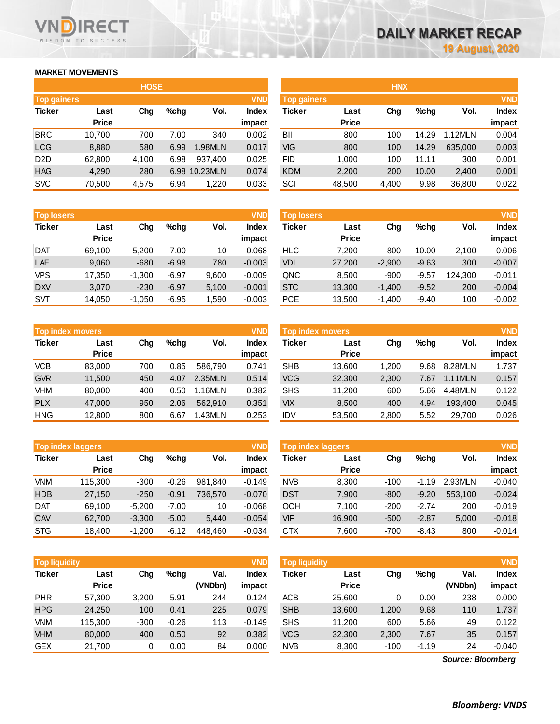# **MARKET MOVEMENTS**

WISDOM TO SUCCESS

**RECT** 

|                    | <b>HOSE</b>  |       |      |          |              |  |  |  |  |  |
|--------------------|--------------|-------|------|----------|--------------|--|--|--|--|--|
| <b>Top gainers</b> |              |       |      |          | <b>VND</b>   |  |  |  |  |  |
| <b>Ticker</b>      | Last         | Chg   | %chq | Vol.     | <b>Index</b> |  |  |  |  |  |
|                    | <b>Price</b> |       |      |          | impact       |  |  |  |  |  |
| <b>BRC</b>         | 10,700       | 700   | 7.00 | 340      | 0.002        |  |  |  |  |  |
| <b>LCG</b>         | 8,880        | 580   | 6.99 | 1.98MLN  | 0.017        |  |  |  |  |  |
| D <sub>2</sub> D   | 62,800       | 4,100 | 6.98 | 937,400  | 0.025        |  |  |  |  |  |
| <b>HAG</b>         | 4,290        | 280   | 6.98 | 10.23MLN | 0.074        |  |  |  |  |  |
| <b>SVC</b>         | 70,500       | 4,575 | 6.94 | 1,220    | 0.033        |  |  |  |  |  |

| <b>Top losers</b> |              |          |         |       | <b>VND</b>   |
|-------------------|--------------|----------|---------|-------|--------------|
| <b>Ticker</b>     | Last         |          | %chq    | Vol.  | <b>Index</b> |
|                   | <b>Price</b> |          |         |       | impact       |
| <b>DAT</b>        | 69,100       | $-5,200$ | $-7.00$ | 10    | $-0.068$     |
| LAF               | 9,060        | $-680$   | $-6.98$ | 780   | $-0.003$     |
| <b>VPS</b>        | 17,350       | $-1,300$ | $-6.97$ | 9,600 | $-0.009$     |
| <b>DXV</b>        | 3,070        | $-230$   | $-6.97$ | 5,100 | $-0.001$     |
| <b>SVT</b>        | 14.050       | $-1.050$ | $-6.95$ | 1,590 | $-0.003$     |

|               | <b>Top index movers</b> |     |      |         |              |  |  |  |  |  |
|---------------|-------------------------|-----|------|---------|--------------|--|--|--|--|--|
| <b>Ticker</b> | Last                    | Cha | %chq | Vol.    | <b>Index</b> |  |  |  |  |  |
|               | <b>Price</b>            |     |      |         | impact       |  |  |  |  |  |
| <b>VCB</b>    | 83,000                  | 700 | 0.85 | 586.790 | 0.741        |  |  |  |  |  |
| <b>GVR</b>    | 11,500                  | 450 | 4.07 | 2.35MLN | 0.514        |  |  |  |  |  |
| <b>VHM</b>    | 80,000                  | 400 | 0.50 | 1.16MLN | 0.382        |  |  |  |  |  |
| <b>PLX</b>    | 47,000                  | 950 | 2.06 | 562,910 | 0.351        |  |  |  |  |  |
| <b>HNG</b>    | 12,800                  | 800 | 6.67 | 1.43MLN | 0.253        |  |  |  |  |  |

|               | <b>VND</b><br><b>Top index laggers</b> |          |         |         |              |  |  |  |  |  |
|---------------|----------------------------------------|----------|---------|---------|--------------|--|--|--|--|--|
| <b>Ticker</b> | Last                                   | Cha      | %chq    | Vol.    | <b>Index</b> |  |  |  |  |  |
|               | <b>Price</b>                           |          |         |         | impact       |  |  |  |  |  |
| <b>VNM</b>    | 115,300                                | $-300$   | $-0.26$ | 981,840 | $-0.149$     |  |  |  |  |  |
| <b>HDB</b>    | 27,150                                 | $-250$   | $-0.91$ | 736,570 | $-0.070$     |  |  |  |  |  |
| DAT           | 69,100                                 | $-5,200$ | $-7.00$ | 10      | $-0.068$     |  |  |  |  |  |
| CAV           | 62,700                                 | $-3,300$ | $-5.00$ | 5,440   | $-0.054$     |  |  |  |  |  |
| <b>STG</b>    | 18,400                                 | $-1,200$ | $-6.12$ | 448,460 | $-0.034$     |  |  |  |  |  |

|                    |              | <b>HOSE</b> |         |               |              |             |              | <b>HNX</b> |         |         |              |
|--------------------|--------------|-------------|---------|---------------|--------------|-------------|--------------|------------|---------|---------|--------------|
| <b>Top gainers</b> |              |             |         |               | <b>VND</b>   | Top gainers |              |            |         |         | <b>VND</b>   |
| Ticker             | Last         | Chg         | $%$ chg | Vol.          | <b>Index</b> | Ticker      | Last         | Chg        | $%$ chg | Vol.    | <b>Index</b> |
|                    | <b>Price</b> |             |         |               | impact       |             | <b>Price</b> |            |         |         | impact       |
| BRC                | 10.700       | 700         | 7.00    | 340           | 0.002        | BII         | 800          | 100        | 14.29   | 1.12MLN | 0.004        |
| LCG                | 8,880        | 580         | 6.99    | 1.98MLN       | 0.017        | VIG         | 800          | 100        | 14.29   | 635,000 | 0.003        |
| D2D                | 62,800       | 4,100       | 6.98    | 937.400       | 0.025        | FID         | 1.000        | 100        | 11.11   | 300     | 0.001        |
| <b>HAG</b>         | 4,290        | 280         |         | 6.98 10.23MLN | 0.074        | <b>KDM</b>  | 2,200        | 200        | 10.00   | 2,400   | 0.001        |
| <b>SVC</b>         | 70,500       | 4,575       | 6.94    | 1,220         | 0.033        | SCI         | 48,500       | 4,400      | 9.98    | 36,800  | 0.022        |
|                    |              |             |         |               |              |             |              |            |         |         |              |

| <b>Top losers</b> |                      |          |         |       |                        | <b>VND</b><br><b>Top losers</b> |                      |          |          |         | <b>VND</b>             |
|-------------------|----------------------|----------|---------|-------|------------------------|---------------------------------|----------------------|----------|----------|---------|------------------------|
| Ticker            | Last<br><b>Price</b> | Chg      | $%$ chg | Vol.  | <b>Index</b><br>impact | Ticker                          | Last<br><b>Price</b> | Chg      | $%$ chg  | Vol.    | <b>Index</b><br>impact |
| Dat               | 69,100               | $-5,200$ | $-7.00$ | 10    | $-0.068$               | <b>HLC</b>                      | 7,200                | $-800$   | $-10.00$ | 2.100   | $-0.006$               |
| LAF               | 9,060                | $-680$   | $-6.98$ | 780   | $-0.003$               | <b>VDL</b>                      | 27,200               | $-2,900$ | $-9.63$  | 300     | $-0.007$               |
| <b>VPS</b>        | 17,350               | $-1,300$ | $-6.97$ | 9,600 | $-0.009$               | QNC                             | 8,500                | $-900$   | $-9.57$  | 124.300 | $-0.011$               |
| <b>DXV</b>        | 3,070                | $-230$   | $-6.97$ | 5,100 | $-0.001$               | <b>STC</b>                      | 13,300               | $-1,400$ | $-9.52$  | 200     | $-0.004$               |
| SVT               | 14,050               | $-1,050$ | $-6.95$ | ,590  | $-0.003$               | PCE                             | 13,500               | $-1,400$ | $-9.40$  | 100     | $-0.002$               |

| <b>Top index movers</b> |              |     |         |         | <b>VND</b>   | <b>Top index movers</b> |              |       |         |         | <b>VND</b>   |
|-------------------------|--------------|-----|---------|---------|--------------|-------------------------|--------------|-------|---------|---------|--------------|
| Ticker                  | Last         | Chg | $%$ chg | Vol.    | <b>Index</b> | Ticker                  | Last         | Chg   | $%$ chg | Vol.    | <b>Index</b> |
|                         | <b>Price</b> |     |         |         | impact       |                         | <b>Price</b> |       |         |         | impact       |
| VCB                     | 83,000       | 700 | 0.85    | 586.790 | 0.741        | <b>SHB</b>              | 13.600       | 1.200 | 9.68    | 8.28MLN | 1.737        |
| <b>GVR</b>              | 11,500       | 450 | 4.07    | 2.35MLN | 0.514        | <b>VCG</b>              | 32,300       | 2,300 | 7.67    | 1.11MLN | 0.157        |
| VHM                     | 80,000       | 400 | 0.50    | 1.16MLN | 0.382        | <b>SHS</b>              | 11.200       | 600   | 5.66    | 4.48MLN | 0.122        |
| <b>PLX</b>              | 47,000       | 950 | 2.06    | 562.910 | 0.351        | <b>VIX</b>              | 8,500        | 400   | 4.94    | 193,400 | 0.045        |
| HNG                     | 12,800       | 800 | 6.67    | 1.43MLN | 0.253        | IDV                     | 53,500       | 2,800 | 5.52    | 29.700  | 0.026        |

|        | <b>Top index laggers</b> |          |         |         | <b>VND</b>   | Top index laggers |              |        |         |         |              |
|--------|--------------------------|----------|---------|---------|--------------|-------------------|--------------|--------|---------|---------|--------------|
| Ticker | Last                     | Chg      | %chq    | Vol.    | <b>Index</b> | Ticker            | Last         | Chg    | $%$ chg | Vol.    | <b>Index</b> |
|        | <b>Price</b>             |          |         |         | impact       |                   | <b>Price</b> |        |         |         | impact       |
| VNM    | 115.300                  | $-300$   | $-0.26$ | 981.840 | $-0.149$     | <b>NVB</b>        | 8.300        | $-100$ | $-1.19$ | 2.93MLN | $-0.040$     |
| HDB    | 27,150                   | $-250$   | $-0.91$ | 736.570 | $-0.070$     | <b>DST</b>        | 7,900        | $-800$ | $-9.20$ | 553.100 | $-0.024$     |
| Dat    | 69.100                   | $-5.200$ | $-7.00$ | 10      | $-0.068$     | ОСН               | 7.100        | $-200$ | $-2.74$ | 200     | $-0.019$     |
| CAV    | 62.700                   | $-3,300$ | $-5.00$ | 5.440   | $-0.054$     | VIF               | 16,900       | $-500$ | $-2.87$ | 5,000   | $-0.018$     |
| STG    | 18,400                   | $-1,200$ | $-6.12$ | 448,460 | $-0.034$     | <b>CTX</b>        | 7,600        | $-700$ | $-8.43$ | 800     | $-0.014$     |
|        |                          |          |         |         |              |                   |              |        |         |         |              |

| <b>Top liquidity</b> |              |        |         |         | <b>VND</b>   | <b>Top liquidity</b> |              |        |         |                   | <b>VND</b> |
|----------------------|--------------|--------|---------|---------|--------------|----------------------|--------------|--------|---------|-------------------|------------|
| <b>Ticker</b>        | Last         | Chg    | %chq    | Val.    | <b>Index</b> | Ticker               | Last         | Chg    | $%$ chg | Val.              | Index      |
|                      | <b>Price</b> |        |         | (VNDbn) | impact       |                      | <b>Price</b> |        |         | (VNDbn)           | impact     |
| <b>PHR</b>           | 57,300       | 3,200  | 5.91    | 244     | 0.124        | <b>ACB</b>           | 25.600       | 0      | 0.00    | 238               | 0.000      |
| <b>HPG</b>           | 24,250       | 100    | 0.41    | 225     | 0.079        | <b>SHB</b>           | 13,600       | 1,200  | 9.68    | 110               | 1.737      |
| <b>VNM</b>           | 115,300      | $-300$ | $-0.26$ | 113     | $-0.149$     | <b>SHS</b>           | 11,200       | 600    | 5.66    | 49                | 0.122      |
| <b>VHM</b>           | 80,000       | 400    | 0.50    | 92      | 0.382        | <b>VCG</b>           | 32,300       | 2,300  | 7.67    | 35                | 0.157      |
| <b>GEX</b>           | 21,700       |        | 0.00    | 84      | 0.000        | <b>NVB</b>           | 8,300        | $-100$ | $-1.19$ | 24                | -0.040     |
|                      |              |        |         |         |              |                      |              |        |         | Source: Bloomberg |            |

*Source: Bloomberg*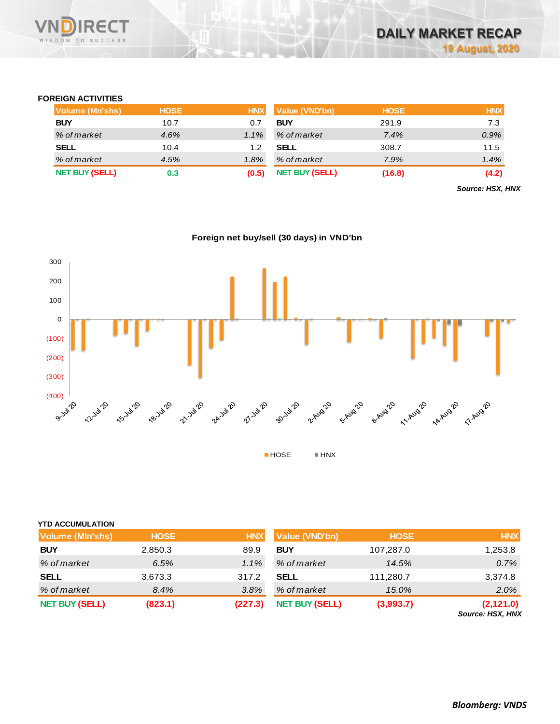## **FOREIGN ACTIVITIES**

| <b>Volume (Mn'shs)</b> | <b>HOSE</b> | <b>HNX</b> | <b>Value (VND'bn)</b> | <b>HOSE</b> | <b>HNX</b> |
|------------------------|-------------|------------|-----------------------|-------------|------------|
| <b>BUY</b>             | 10.7        | 0.7        | <b>BUY</b>            | 291.9       | 7.3        |
| % of market            | 4.6%        | $1.1\%$    | % of market           | 7.4%        | 0.9%       |
| <b>SELL</b>            | 10.4        | 1.2        | <b>SELL</b>           | 308.7       | 11.5       |
| % of market            | 4.5%        | $1.8\%$    | % of market           | 7.9%        | 1.4%       |
| <b>NET BUY (SELL)</b>  | 0.3         | (0.5)      | <b>NET BUY (SELL)</b> | (16.8)      | (4.2)      |

*Source: HSX, HNX*

**Foreign net buy/sell (30 days) in VND'bn**



# **YTD ACCUMULATION**

| <b>Volume (MIn'shs)</b> | <b>HOSE</b> | <b>HNX</b> | <b>Value (VND'bn)</b> | <b>HOSE</b> | <b>HNX</b>                           |
|-------------------------|-------------|------------|-----------------------|-------------|--------------------------------------|
| <b>BUY</b>              | 2,850.3     | 89.9       | <b>BUY</b>            | 107,287.0   | 1,253.8                              |
| % of market             | 6.5%        | $1.1\%$    | % of market           | 14.5%       | 0.7%                                 |
| <b>SELL</b>             | 3,673.3     | 317.2      | <b>SELL</b>           | 111,280.7   | 3,374.8                              |
| % of market             | 8.4%        | 3.8%       | % of market           | 15.0%       | 2.0%                                 |
| <b>NET BUY (SELL)</b>   | (823.1)     | (227.3)    | <b>NET BUY (SELL)</b> | (3,993.7)   | (2,121.0)<br><b>Source: HSX, HNX</b> |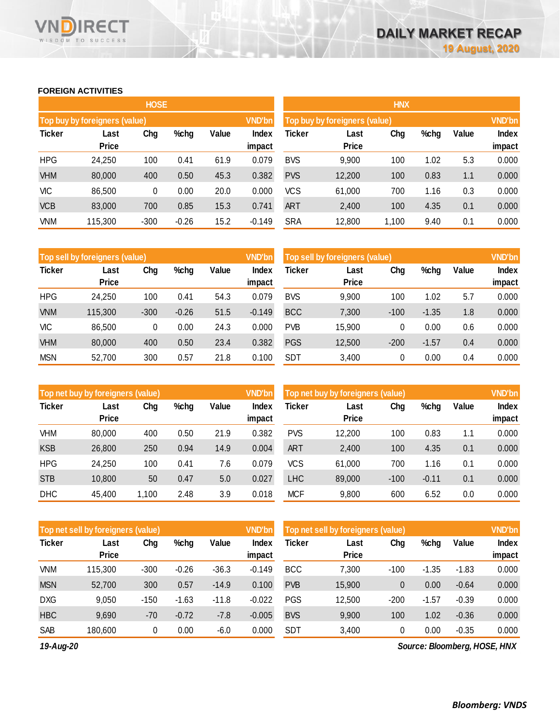# **FOREIGN ACTIVITIES**

WISDOM TO SUCCESS

n

**RECT** 

|               |                               | <b>HOSE</b> |         |       |                 | <b>HNX</b>                    |                      |       |      |       |                        |  |
|---------------|-------------------------------|-------------|---------|-------|-----------------|-------------------------------|----------------------|-------|------|-------|------------------------|--|
|               | Top buy by foreigners (value) |             |         |       | <b>VND'bn</b>   | Top buy by foreigners (value) |                      |       |      |       |                        |  |
| <b>Ticker</b> | Last<br><b>Price</b>          | Chg         | %chg    | Value | Index<br>impact | Ticker                        | Last<br><b>Price</b> | Chg   | %chg | Value | <b>Index</b><br>impact |  |
| <b>HPG</b>    | 24,250                        | 100         | 0.41    | 61.9  | 0.079           | <b>BVS</b>                    | 9,900                | 100   | 1.02 | 5.3   | 0.000                  |  |
| <b>VHM</b>    | 80,000                        | 400         | 0.50    | 45.3  | 0.382           | <b>PVS</b>                    | 12,200               | 100   | 0.83 | 1.1   | 0.000                  |  |
| <b>VIC</b>    | 86,500                        | 0           | 0.00    | 20.0  | 0.000           | <b>VCS</b>                    | 61,000               | 700   | 1.16 | 0.3   | 0.000                  |  |
| <b>VCB</b>    | 83,000                        | 700         | 0.85    | 15.3  | 0.741           | ART                           | 2,400                | 100   | 4.35 | 0.1   | 0.000                  |  |
| <b>VNM</b>    | 115,300                       | $-300$      | $-0.26$ | 15.2  | $-0.149$        | <b>SRA</b>                    | 12,800               | 1,100 | 9.40 | 0.1   | 0.000                  |  |

|               | Top sell by foreigners (value) |        |         |       | <b>VND'bn</b>          | Top sell by foreigners (value) |                      | <b>VND'bn</b> |         |       |                 |
|---------------|--------------------------------|--------|---------|-------|------------------------|--------------------------------|----------------------|---------------|---------|-------|-----------------|
| <b>Ticker</b> | Last<br><b>Price</b>           | Chg    | %chg    | Value | <b>Index</b><br>impact | Ticker                         | Last<br><b>Price</b> | Chg           | %chg    | Value | Index<br>impact |
| <b>HPG</b>    | 24,250                         | 100    | 0.41    | 54.3  | 0.079                  | <b>BVS</b>                     | 9,900                | 100           | 1.02    | 5.7   | 0.000           |
| <b>VNM</b>    | 115,300                        | $-300$ | $-0.26$ | 51.5  | $-0.149$               | <b>BCC</b>                     | 7,300                | $-100$        | $-1.35$ | 1.8   | 0.000           |
| VIC           | 86,500                         | 0      | 0.00    | 24.3  | 0.000                  | <b>PVB</b>                     | 15,900               | 0             | 0.00    | 0.6   | 0.000           |
| <b>VHM</b>    | 80,000                         | 400    | 0.50    | 23.4  | 0.382                  | <b>PGS</b>                     | 12,500               | $-200$        | $-1.57$ | 0.4   | 0.000           |
| <b>MSN</b>    | 52,700                         | 300    | 0.57    | 21.8  | 0.100                  | <b>SDT</b>                     | 3,400                | 0             | 0.00    | 0.4   | 0.000           |

|               | <b>VND'bn</b><br>Top net buy by foreigners (value) |       |      |       |                 |            | Top net buy by foreigners (value) |        |         |       |                 |  |  |
|---------------|----------------------------------------------------|-------|------|-------|-----------------|------------|-----------------------------------|--------|---------|-------|-----------------|--|--|
| <b>Ticker</b> | Last<br><b>Price</b>                               | Chg   | %chg | Value | Index<br>impact | Ticker     | Last<br><b>Price</b>              | Chg    | %chg    | Value | Index<br>impact |  |  |
| <b>VHM</b>    | 80,000                                             | 400   | 0.50 | 21.9  | 0.382           | <b>PVS</b> | 12,200                            | 100    | 0.83    | 1.1   | 0.000           |  |  |
| <b>KSB</b>    | 26,800                                             | 250   | 0.94 | 14.9  | 0.004           | ART        | 2,400                             | 100    | 4.35    | 0.1   | 0.000           |  |  |
| <b>HPG</b>    | 24.250                                             | 100   | 0.41 | 7.6   | 0.079           | <b>VCS</b> | 61.000                            | 700    | 1.16    | 0.1   | 0.000           |  |  |
| <b>STB</b>    | 10,800                                             | 50    | 0.47 | 5.0   | 0.027           | <b>LHC</b> | 89,000                            | $-100$ | $-0.11$ | 0.1   | 0.000           |  |  |
| <b>DHC</b>    | 45,400                                             | 1.100 | 2.48 | 3.9   | 0.018           | <b>MCF</b> | 9,800                             | 600    | 6.52    | 0.0   | 0.000           |  |  |

|               | Top net sell by foreigners (value) |        |         |         |                        | Top net sell by foreigners (value) |                      | <b>VND'bn</b> |         |         |                        |
|---------------|------------------------------------|--------|---------|---------|------------------------|------------------------------------|----------------------|---------------|---------|---------|------------------------|
| <b>Ticker</b> | Last<br><b>Price</b>               | Chg    | %chg    | Value   | <b>Index</b><br>impact | <b>Ticker</b>                      | Last<br><b>Price</b> | Chg           | %chg    | Value   | <b>Index</b><br>impact |
| VNM           | 115,300                            | $-300$ | $-0.26$ | $-36.3$ | $-0.149$               | <b>BCC</b>                         | 7,300                | $-100$        | $-1.35$ | $-1.83$ | 0.000                  |
| <b>MSN</b>    | 52,700                             | 300    | 0.57    | $-14.9$ | 0.100                  | <b>PVB</b>                         | 15,900               | 0             | 0.00    | $-0.64$ | 0.000                  |
| <b>DXG</b>    | 9,050                              | $-150$ | $-1.63$ | $-11.8$ | $-0.022$               | <b>PGS</b>                         | 12,500               | $-200$        | $-1.57$ | $-0.39$ | 0.000                  |
| <b>HBC</b>    | 9,690                              | $-70$  | $-0.72$ | $-7.8$  | $-0.005$               | <b>BVS</b>                         | 9,900                | 100           | 1.02    | $-0.36$ | 0.000                  |
| SAB           | 180,600                            | 0      | 0.00    | $-6.0$  | 0.000                  | <b>SDT</b>                         | 3,400                | 0             | 0.00    | $-0.35$ | 0.000                  |

*19-Aug-20*

*Source: Bloomberg, HOSE, HNX*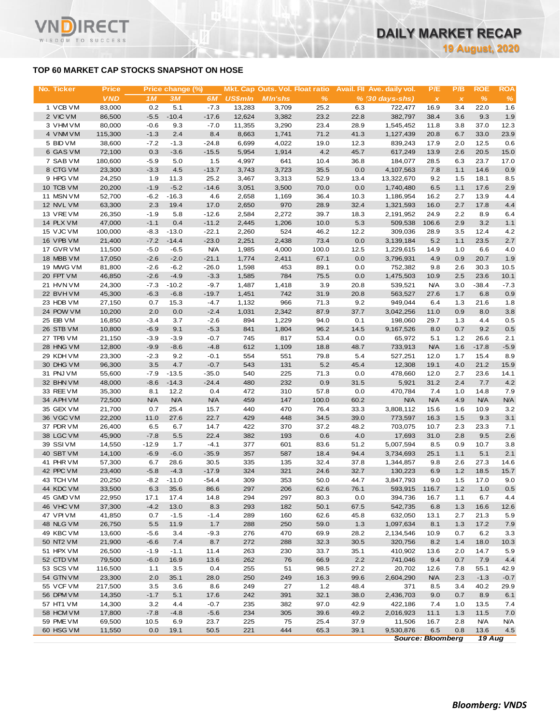# **TOP 60 MARKET CAP STOCKS SNAPSHOT ON HOSE**

ד־

WISDOM TO SUCCESS

| No. Ticker             | <b>Price</b>      |                   | Price change (%)   |                       |                 | Mkt. Cap Outs. Vol. Float ratio |               |              | Avail. Fil Ave. daily vol. | P/E               | P/B          | <b>ROE</b>         | <b>ROA</b>        |
|------------------------|-------------------|-------------------|--------------------|-----------------------|-----------------|---------------------------------|---------------|--------------|----------------------------|-------------------|--------------|--------------------|-------------------|
|                        | <b>VND</b>        | 1 M               | 3M                 | 6M                    | <b>US\$mln</b>  | <b>MIn'shs</b>                  | $\%$          |              | $% (30 days-shs)$          | $\pmb{\times}$    | $\pmb{\chi}$ | $\frac{9}{6}$      | $\%$              |
| 1 VCB VM               | 83,000            | 0.2               | 5.1                | $-7.3$                | 13,283          | 3,709                           | 25.2          | 6.3          | 722,477                    | 16.9              | 3.4          | 22.0               | 1.6               |
| 2 VIC VM               | 86,500            | $-5.5$            | $-10.4$            | $-17.6$               | 12,624          | 3,382                           | 23.2          | 22.8         | 382,797                    | 38.4              | 3.6          | 9.3                | 1.9               |
| 3 VHM VM<br>4 VNM VM   | 80,000<br>115,300 | $-0.6$<br>$-1.3$  | 9.3<br>2.4         | $-7.0$<br>8.4         | 11,355<br>8,663 | 3,290<br>1,741                  | 23.4<br>71.2  | 28.9<br>41.3 | 1,545,452<br>1,127,439     | 11.8<br>20.8      | 3.8<br>6.7   | 37.0<br>33.0       | 12.3<br>23.9      |
| 5 BID VM               | 38,600            | $-7.2$            | $-1.3$             | $-24.8$               | 6,699           | 4,022                           | 19.0          | 12.3         | 839,243                    | 17.9              | 2.0          | 12.5               | 0.6               |
| 6 GAS VM               | 72,100            | 0.3               | $-3.6$             | $-15.5$               | 5,954           | 1,914                           | 4.2           | 45.7         | 617,249                    | 13.9              | 2.6          | 20.5               | 15.0              |
| 7 SAB VM               | 180,600           | $-5.9$            | 5.0                | 1.5                   | 4,997           | 641                             | 10.4          | 36.8         | 184,077                    | 28.5              | 6.3          | 23.7               | 17.0              |
| 8 CTG VM               | 23,300            | $-3.3$            | 4.5                | $-13.7$               | 3,743           | 3,723                           | 35.5          | 0.0          | 4,107,563                  | 7.8               | 1.1          | 14.6               | 0.9               |
| 9 HPG VM               | 24,250            | 1.9               | 11.3               | 25.2                  | 3,467           | 3,313                           | 52.9          | 13.4         | 13,322,670                 | 9.2               | 1.5          | 18.1               | 8.5               |
| 10 TCB VM              | 20,200            | $-1.9$            | $-5.2$             | $-14.6$               | 3,051           | 3,500                           | 70.0          | 0.0          | 1,740,480                  | 6.5               | 1.1          | 17.6               | 2.9               |
| 11 MSN VM              | 52,700            | $-6.2$            | $-16.3$            | 4.6                   | 2,658           | 1,169                           | 36.4          | 10.3         | 1,186,954                  | 16.2              | 2.7          | 13.9               | 4.4               |
| 12 NVL VM              | 63,300            | 2.3               | 19.4               | 17.0                  | 2,650           | 970                             | 28.9          | 32.4         | 1,321,593                  | 16.0              | 2.7          | 17.8               | 4.4               |
| 13 VREVM               | 26,350            | $-1.9$            | 5.8                | $-12.6$               | 2,584           | 2,272                           | 39.7          | 18.3         | 2,191,952                  | 24.9              | 2.2          | 8.9                | 6.4               |
| 14 PLX VM              | 47,000            | $-1.1$            | 0.4                | $-11.2$               | 2,445           | 1,206                           | 10.0          | 5.3          | 509,538                    | 106.6             | 2.9          | 3.2                | 1.1               |
| 15 VJC VM              | 100,000           | $-8.3$            | $-13.0$            | $-22.1$               | 2,260           | 524                             | 46.2          | 12.2         | 309,036                    | 28.9              | 3.5          | 12.4               | 4.2               |
| 16 VPB VM              | 21,400            | $-7.2$            | $-14.4$            | $-23.0$               | 2,251           | 2,438                           | 73.4          | 0.0          | 3,139,184                  | 5.2               | 1.1          | 23.5               | 2.7               |
| 17 GVR VM<br>18 MBB VM | 11,500            | $-5.0$            | $-6.5$             | <b>N/A</b><br>$-21.1$ | 1,985           | 4,000                           | 100.0         | 12.5         | 1,229,615                  | 14.9              | 1.0          | 6.6                | 4.0               |
| 19 MWG VM              | 17,050<br>81,800  | $-2.6$<br>$-2.6$  | $-2.0$<br>$-6.2$   | $-26.0$               | 1,774<br>1,598  | 2,411<br>453                    | 67.1          | 0.0          | 3,796,931<br>752,382       | 4.9               | 0.9<br>2.6   | 20.7<br>30.3       | 1.9<br>10.5       |
| 20 FPT VM              | 46,850            | $-2.6$            | $-4.9$             | $-3.3$                | 1,585           | 784                             | 89.1<br>75.5  | 0.0<br>0.0   | 1,475,503                  | 9.8<br>10.9       | 2.5          | 23.6               | 10.1              |
| 21 HVN VM              | 24,300            | $-7.3$            | $-10.2$            | $-9.7$                | 1,487           | 1,418                           | 3.9           | 20.8         | 539,521                    | <b>N/A</b>        | 3.0          | $-38.4$            | $-7.3$            |
| 22 BVHVM               | 45,300            | $-6.3$            | $-6.8$             | $-19.7$               | 1,451           | 742                             | 31.9          | 20.8         | 563,527                    | 27.6              | 1.7          | 6.8                | 0.9               |
| 23 HDB VM              | 27,150            | 0.7               | 15.3               | $-4.7$                | 1,132           | 966                             | 71.3          | 9.2          | 949,044                    | 6.4               | 1.3          | 21.6               | 1.8               |
| 24 POW VM              | 10,200            | 2.0               | 0.0                | $-2.4$                | 1,031           | 2,342                           | 87.9          | 37.7         | 3,042,256                  | 11.0              | 0.9          | 8.0                | 3.8               |
| 25 EIB VM              | 16,850            | $-3.4$            | 3.7                | $-2.6$                | 894             | 1,229                           | 94.0          | 0.1          | 198,060                    | 29.7              | 1.3          | 4.4                | 0.5               |
| 26 STB VM              | 10,800            | $-6.9$            | 9.1                | $-5.3$                | 841             | 1,804                           | 96.2          | 14.5         | 9,167,526                  | 8.0               | 0.7          | 9.2                | 0.5               |
| 27 TPB VM              | 21,150            | $-3.9$            | $-3.9$             | $-0.7$                | 745             | 817                             | 53.4          | 0.0          | 65,972                     | 5.1               | 1.2          | 26.6               | 2.1               |
| 28 HNG VM              | 12,800            | $-9.9$            | $-8.6$             | $-4.8$                | 612             | 1,109                           | 18.8          | 48.7         | 733,913                    | <b>N/A</b>        | 1.6          | $-17.8$            | $-5.9$            |
| 29 KDH VM              | 23,300            | $-2.3$            | 9.2                | $-0.1$                | 554             | 551                             | 79.8          | 5.4          | 527,251                    | 12.0              | 1.7          | 15.4               | 8.9               |
| 30 DHG VM              | 96,300            | 3.5               | 4.7                | $-0.7$                | 543             | 131                             | 5.2           | 45.4         | 12,308                     | 19.1              | 4.0          | 21.2               | 15.9              |
| 31 PNJ VM              | 55,600            | $-7.9$            | $-13.5$            | $-35.0$               | 540             | 225                             | 71.3          | 0.0          | 478,660                    | 12.0              | 2.7          | 23.6               | 14.1              |
| 32 BHN VM              | 48,000            | $-8.6$            | $-14.3$            | $-24.4$               | 480             | 232                             | 0.9           | 31.5         | 5,921                      | 31.2              | 2.4          | 7.7                | 4.2               |
| 33 REE VM<br>34 APH VM | 35,300<br>72,500  | 8.1<br><b>N/A</b> | 12.2<br><b>N/A</b> | 0.4<br><b>N/A</b>     | 472<br>459      | 310<br>147                      | 57.8<br>100.0 | 0.0<br>60.2  | 470,784<br><b>N/A</b>      | 7.4<br><b>N/A</b> | 1.0<br>4.9   | 14.8<br><b>N/A</b> | 7.9<br><b>N/A</b> |
| 35 GEX VM              | 21,700            | 0.7               | 25.4               | 15.7                  | 440             | 470                             | 76.4          | 33.3         | 3,808,112                  | 15.6              | 1.6          | 10.9               | 3.2               |
| 36 VGC VM              | 22,200            | 11.0              | 27.6               | 22.7                  | 429             | 448                             | 34.5          | 39.0         | 773,597                    | 16.3              | 1.5          | 9.3                | 3.1               |
| 37 PDR VM              | 26,400            | 6.5               | 6.7                | 14.7                  | 422             | 370                             | 37.2          | 48.2         | 703,075                    | 10.7              | 2.3          | 23.3               | 7.1               |
| 38 LGC VM              | 45,900            | $-7.8$            | 5.5                | 22.4                  | 382             | 193                             | 0.6           | 4.0          | 17,693                     | 31.0              | 2.8          | 9.5                | 2.6               |
| 39 SSIVM               | 14,550            | $-12.9$           | 1.7                | $-4.1$                | 377             | 601                             | 83.6          | 51.2         | 5,007,594                  | 8.5               | 0.9          | 10.7               | 3.8               |
| 40 SBT VM              | 14,100            | $-6.9$            | $-6.0$             | $-35.9$               | 357             | 587                             | 18.4          | 94.4         | 3,734,693                  | 25.1              | 1.1          | 5.1                | 2.1               |
| 41 PHR VM              | 57,300            | 6.7               | 28.6               | 30.5                  | 335             | 135                             | 32.4          | 37.8         | 1,344,857                  | 9.8               | 2.6          | 27.3               | 14.6              |
| 42 PPC VM              | 23,400            | $-5.8$            | $-4.3$             | $-17.9$               | 324             | 321                             | 24.6          | 32.7         | 130,223                    | 6.9               | 1.2          | 18.5               | 15.7              |
| 43 TCH VM              | 20,250            | $-8.2$            | $-11.0$            | $-54.4$               | 309             | 353                             | 50.0          | 44.7         | 3,847,793                  | 9.0               | 1.5          | 17.0               | 9.0               |
| 44 KDC VM              | 33,500            | 6.3               | 35.6               | 86.6                  | 297             | 206                             | 62.6          | 76.1         | 593,915                    | 116.7             | 1.2          | 1.0                | 0.5               |
| 45 GMD VM              | 22,950            | 17.1              | 17.4               | 14.8                  | 294             | 297                             | 80.3          | 0.0          | 394,736                    | 16.7              | 1.1          | 6.7                | 4.4               |
| 46 VHC VM              | 37,300            | $-4.2$            | 13.0               | 8.3                   | 293             | 182                             | 50.1          | 67.5         | 542,735                    | 6.8               | 1.3          | 16.6               | 12.6              |
| 47 VPIVM               | 41,850            | 0.7<br>5.5        | $-1.5$<br>11.9     | $-1.4$<br>1.7         | 289<br>288      | 160<br>250                      | 62.6<br>59.0  | 45.8<br>1.3  | 632,050                    | 13.1<br>8.1       | 2.7<br>1.3   | 21.3<br>17.2       | 5.9               |
| 48 NLG VM<br>49 KBC VM | 26,750<br>13,600  | $-5.6$            | 3.4                | $-9.3$                | 276             | 470                             | 69.9          | 28.2         | 1,097,634<br>2,134,546     | 10.9              | 0.7          | 6.2                | 7.9<br>3.3        |
| 50 NT2 VM              | 21,900            | $-6.6$            | 7.4                | 8.7                   | 272             | 288                             | 32.3          | 30.5         | 320,756                    | 8.2               | 1.4          | 18.0               | 10.3              |
| 51 HPX VM              | 26,500            | $-1.9$            | $-1.1$             | 11.4                  | 263             | 230                             | 33.7          | 35.1         | 410,902                    | 13.6              | 2.0          | 14.7               | 5.9               |
| 52 CTD VM              | 79,500            | $-6.0$            | 16.9               | 13.6                  | 262             | 76                              | 66.9          | 2.2          | 741,046                    | 9.4               | 0.7          | 7.9                | 4.4               |
| 53 SCS VM              | 116,500           | 1.1               | 3.5                | 0.4                   | 255             | 51                              | 98.5          | 27.2         | 20,702                     | 12.6              | 7.8          | 55.1               | 42.9              |
| 54 GTN VM              | 23,300            | 2.0               | 35.1               | 28.0                  | 250             | 249                             | 16.3          | 99.6         | 2,604,290                  | <b>N/A</b>        | 2.3          | $-1.3$             | $-0.7$            |
| 55 VCF VM              | 217,500           | 3.5               | 3.6                | 8.6                   | 249             | 27                              | 1.2           | 48.4         | 371                        | 8.5               | 3.4          | 40.2               | 29.9              |
| 56 DPM VM              | 14,350            | $-1.7$            | 5.1                | 17.6                  | 242             | 391                             | 32.1          | 38.0         | 2,436,703                  | 9.0               | 0.7          | 8.9                | 6.1               |
| 57 HT1 VM              | 14,300            | 3.2               | 4.4                | $-0.7$                | 235             | 382                             | 97.0          | 42.9         | 422,186                    | 7.4               | 1.0          | 13.5               | 7.4               |
| 58 HCM VM              | 17,800            | $-7.8$            | $-4.8$             | $-5.6$                | 234             | 305                             | 39.6          | 49.2         | 2,016,923                  | 11.1              | 1.3          | 11.5               | 7.0               |
| 59 PME VM              | 69,500            | 10.5              | 6.9                | 23.7                  | 225             | 75                              | 25.4          | 37.9         | 11,506                     | 16.7              | 2.8          | <b>N/A</b>         | <b>N/A</b>        |
| 60 HSG VM              | 11,550            | 0.0               | 19.1               | 50.5                  | 221             | 444                             | 65.3          | 39.1         | 9,530,876                  | 6.5               | 0.8          | 13.6               | 4.5               |